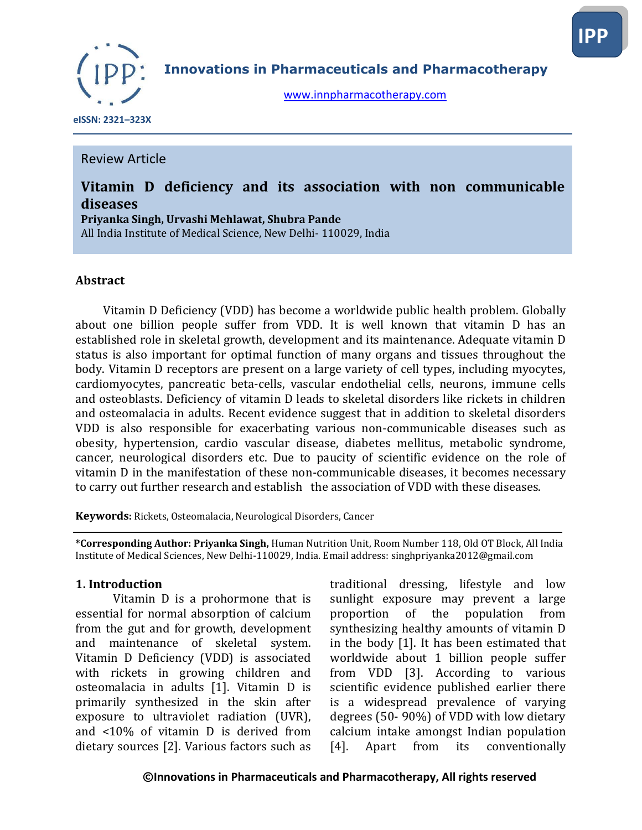

**Innovations in Pharmaceuticals and Pharmacotherapy**

[www.innpharmacotherapy.com](http://www.innpharmacotherapy.com/)

 **eISSN: 2321–323X**

### Review Article

# **Vitamin D deficiency and its association with non communicable diseases**

**Priyanka Singh, Urvashi Mehlawat, Shubra Pande** All India Institute of Medical Science, New Delhi- 110029, India

#### **Abstract**

 Vitamin D Deficiency (VDD) has become a worldwide public health problem. Globally about one billion people suffer from VDD. It is well known that vitamin D has an established role in skeletal growth, development and its maintenance. Adequate vitamin D status is also important for optimal function of many organs and tissues throughout the body. Vitamin D receptors are present on a large variety of cell types, including myocytes, cardiomyocytes, pancreatic beta-cells, vascular endothelial cells, neurons, immune cells and osteoblasts. Deficiency of vitamin D leads to skeletal disorders like rickets in children and osteomalacia in adults. Recent evidence suggest that in addition to skeletal disorders VDD is also responsible for exacerbating various non-communicable diseases such as obesity, hypertension, cardio vascular disease, diabetes mellitus, metabolic syndrome, cancer, neurological disorders etc. Due to paucity of scientific evidence on the role of vitamin D in the manifestation of these non-communicable diseases, it becomes necessary to carry out further research and establish the association of VDD with these diseases.

**Keywords:** Rickets, Osteomalacia, Neurological Disorders, Cancer

**\*Corresponding Author: Priyanka Singh,** Human Nutrition Unit, Room Number 118, Old OT Block, All India Institute of Medical Sciences, New Delhi-110029, India. Email address: singhpriyanka2012@gmail.com

#### **1. Introduction**

Vitamin D is a prohormone that is essential for normal absorption of calcium from the gut and for growth, development and maintenance of skeletal system. Vitamin D Deficiency (VDD) is associated with rickets in growing children and osteomalacia in adults [1]. Vitamin D is primarily synthesized in the skin after exposure to ultraviolet radiation (UVR), and <10% of vitamin D is derived from dietary sources [2]. Various factors such as

traditional dressing, lifestyle and low sunlight exposure may prevent a large proportion of the population from synthesizing healthy amounts of vitamin D in the body [1]. It has been estimated that worldwide about 1 billion people suffer from VDD [3]. According to various scientific evidence published earlier there is a widespread prevalence of varying degrees (50- 90%) of VDD with low dietary calcium intake amongst Indian population [4]. Apart from its conventionally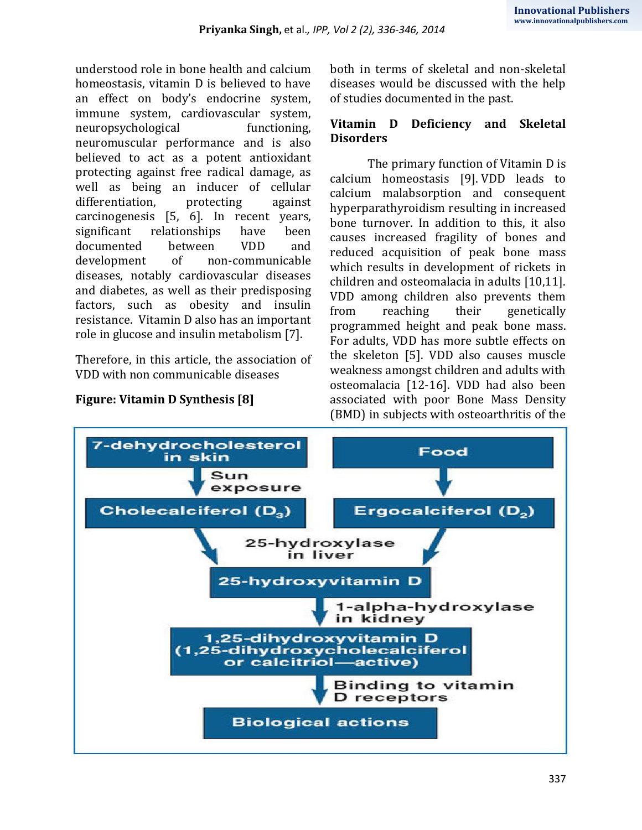understood role in bone health and calcium homeostasis, vitamin D is believed to have an effect on body's endocrine system, immune system, cardiovascular system, neuropsychological functioning, neuromuscular performance and is also believed to act as a potent antioxidant protecting against free radical damage, as well as being an inducer of cellular differentiation, protecting against carcinogenesis [5, 6]. In recent years, significant relationships have been documented between VDD and development of non-communicable diseases, notably cardiovascular diseases and diabetes, as well as their predisposing factors, such as obesity and insulin resistance. Vitamin D also has an important role in glucose and insulin metabolism [7].

Therefore, in this article, the association of VDD with non communicable diseases



both in terms of skeletal and non-skeletal diseases would be discussed with the help of studies documented in the past.

### **Vitamin D Deficiency and Skeletal Disorders**

The primary function of Vitamin D is calcium homeostasis [9]. VDD leads to calcium malabsorption and consequent hyperparathyroidism resulting in increased bone turnover. In addition to this, it also causes increased fragility of bones and reduced acquisition of peak bone mass which results in development of rickets in children and osteomalacia in adults [10,11]. VDD among children also prevents them from reaching their genetically programmed height and peak bone mass. For adults, VDD has more subtle effects on the skeleton [5]. VDD also causes muscle weakness amongst children and adults with osteomalacia [12-16]. VDD had also been associated with poor Bone Mass Density (BMD) in subjects with osteoarthritis of the

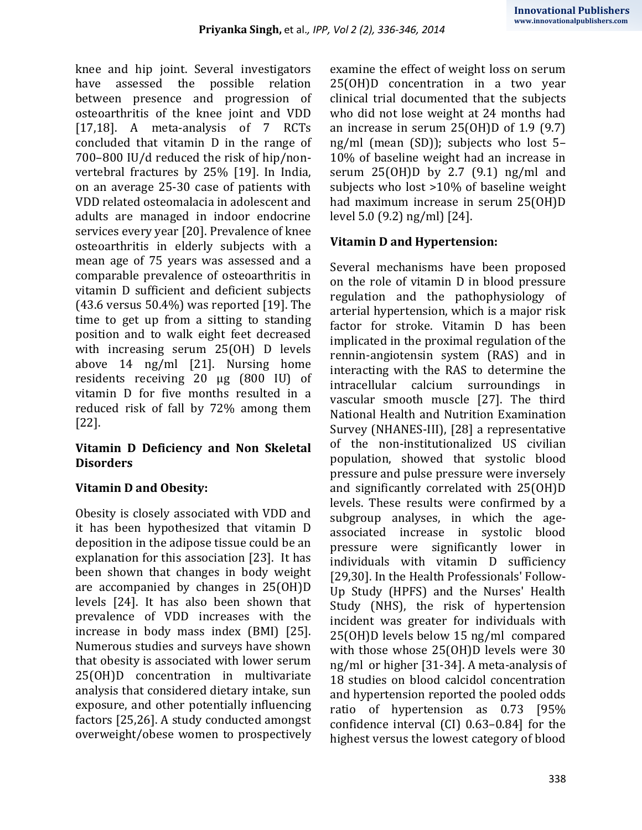knee and hip joint. Several investigators have assessed the possible relation between presence and progression of osteoarthritis of the knee joint and VDD [17,18]. A meta-analysis of 7 RCTs concluded that vitamin D in the range of 700–800 IU/d reduced the risk of hip/nonvertebral fractures by 25% [19]. In India, on an average 25-30 case of patients with VDD related osteomalacia in adolescent and adults are managed in indoor endocrine services every year [20]. Prevalence of knee osteoarthritis in elderly subjects with a mean age of 75 years was assessed and a comparable prevalence of osteoarthritis in vitamin D sufficient and deficient subjects  $(43.6 \text{ versus } 50.4\%)$  was reported [19]. The time to get up from a sitting to standing position and to walk eight feet decreased with increasing serum 25(OH) D levels above 14 ng/ml [21]. Nursing home residents receiving 20 μg (800 IU) of vitamin D for five months resulted in a reduced risk of fall by 72% among them [22].

#### **Vitamin D Deficiency and Non Skeletal Disorders**

# **Vitamin D and Obesity:**

Obesity is closely associated with VDD and it has been hypothesized that vitamin D deposition in the adipose tissue could be an explanation for this association [23]. It has been shown that changes in body weight are accompanied by changes in 25(OH)D levels [24]. It has also been shown that prevalence of VDD increases with the increase in body mass index (BMI) [25]. Numerous studies and surveys have shown that obesity is associated with lower serum 25(OH)D concentration in multivariate analysis that considered dietary intake, sun exposure, and other potentially influencing factors [25,26]. A study conducted amongst overweight/obese women to prospectively examine the effect of weight loss on serum 25(OH)D concentration in a two year clinical trial documented that the subjects who did not lose weight at 24 months had an increase in serum 25(OH)D of 1.9 (9.7) ng/ml (mean (SD)); subjects who lost 5– 10% of baseline weight had an increase in serum 25(OH)D by 2.7 (9.1) ng/ml and subjects who lost >10% of baseline weight had maximum increase in serum 25(OH)D level 5.0 (9.2) ng/ml) [24].

# **Vitamin D and Hypertension:**

Several mechanisms have been proposed on the role of vitamin D in blood pressure regulation and the pathophysiology of arterial hypertension, which is a major risk factor for stroke. Vitamin D has been implicated in the proximal regulation of the rennin-angiotensin system (RAS) and in interacting with the RAS to determine the intracellular calcium surroundings in vascular smooth muscle [27]. The third National Health and Nutrition Examination Survey (NHANES-III), [28] a representative of the non-institutionalized US civilian population, showed that systolic blood pressure and pulse pressure were inversely and significantly correlated with 25(OH)D levels. These results were confirmed by a subgroup analyses, in which the ageassociated increase in systolic blood pressure were significantly lower in individuals with vitamin D sufficiency [29,30]. In the Health Professionals' Follow-Up Study (HPFS) and the Nurses' Health Study (NHS), the risk of hypertension incident was greater for individuals with 25(OH)D levels below 15 ng/ml compared with those whose 25(OH)D levels were 30 ng/ml or higher [31-34]. A meta-analysis of 18 studies on blood calcidol concentration and hypertension reported the pooled odds ratio of hypertension as 0.73 [95% confidence interval (CI) 0.63–0.84] for the highest versus the lowest category of blood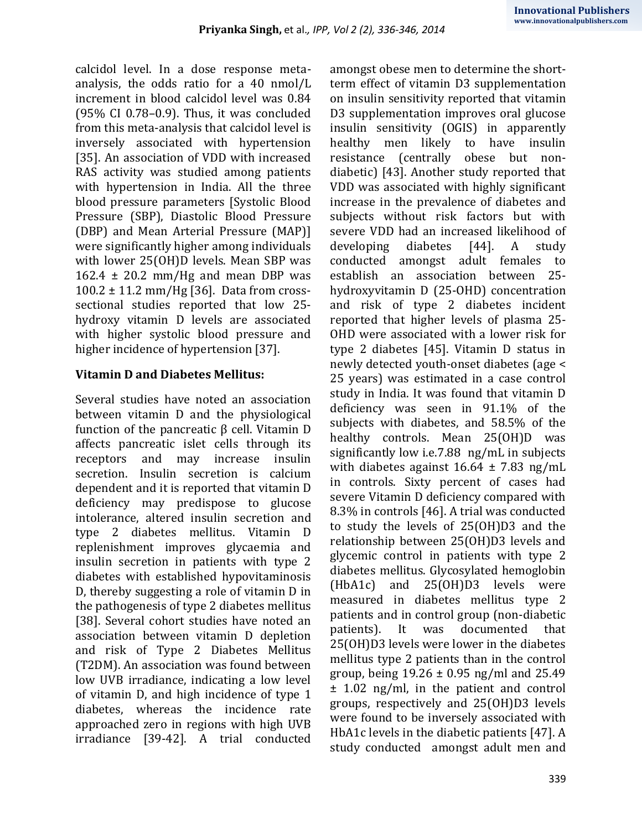calcidol level. In a dose response metaanalysis, the odds ratio for a 40 nmol/L increment in blood calcidol level was 0.84 (95% CI 0.78–0.9). Thus, it was concluded from this meta-analysis that calcidol level is inversely associated with hypertension [35]. An association of VDD with increased RAS activity was studied among patients with hypertension in India. All the three blood pressure parameters [Systolic Blood Pressure (SBP), Diastolic Blood Pressure (DBP) and Mean Arterial Pressure (MAP)] were significantly higher among individuals with lower 25(OH)D levels. Mean SBP was 162.4  $\pm$  20.2 mm/Hg and mean DBP was  $100.2 \pm 11.2$  mm/Hg [36]. Data from crosssectional studies reported that low 25 hydroxy vitamin D levels are associated with higher systolic blood pressure and higher incidence of hypertension [37].

### **Vitamin D and Diabetes Mellitus:**

Several studies have noted an association between vitamin D and the physiological function of the pancreatic β cell. Vitamin D affects pancreatic islet cells through its receptors and may increase insulin secretion. Insulin secretion is calcium dependent and it is reported that vitamin D deficiency may predispose to glucose intolerance, altered insulin secretion and type 2 diabetes mellitus. Vitamin D replenishment improves glycaemia and insulin secretion in patients with type 2 diabetes with established hypovitaminosis D, thereby suggesting a role of vitamin D in the pathogenesis of type 2 diabetes mellitus [38]. Several cohort studies have noted an association between vitamin D depletion and risk of Type 2 Diabetes Mellitus (T2DM). An association was found between low UVB irradiance, indicating a low level of vitamin D, and high incidence of type 1 diabetes, whereas the incidence rate approached zero in regions with high UVB irradiance [39-42]. A trial conducted amongst obese men to determine the shortterm effect of vitamin D3 supplementation on insulin sensitivity reported that vitamin D3 supplementation improves oral glucose insulin sensitivity (OGIS) in apparently healthy men likely to have insulin resistance (centrally obese but nondiabetic) [43]. Another study reported that VDD was associated with highly significant increase in the prevalence of diabetes and subjects without risk factors but with severe VDD had an increased likelihood of developing diabetes [44]. A study conducted amongst adult females to establish an association between 25 hydroxyvitamin D (25-OHD) concentration and risk of type 2 diabetes incident reported that higher levels of plasma 25- OHD were associated with a lower risk for type 2 diabetes [45]. Vitamin D status in newly detected youth-onset diabetes (age < 25 years) was estimated in a case control study in India. It was found that vitamin D deficiency was seen in 91.1% of the subjects with diabetes, and 58.5% of the healthy controls. Mean 25(OH)D was significantly low i.e.7.88 ng/mL in subjects with diabetes against  $16.64 \pm 7.83$  ng/mL in controls. Sixty percent of cases had severe Vitamin D deficiency compared with 8.3% in controls [46]. A trial was conducted to study the levels of 25(OH)D3 and the relationship between 25(OH)D3 levels and glycemic control in patients with type 2 diabetes mellitus. Glycosylated hemoglobin (HbA1c) and 25(OH)D3 levels were measured in diabetes mellitus type 2 patients and in control group (non-diabetic patients). It was documented that 25(OH)D3 levels were lower in the diabetes mellitus type 2 patients than in the control group, being  $19.26 \pm 0.95$  ng/ml and  $25.49$ ± 1.02 ng/ml, in the patient and control groups, respectively and 25(OH)D3 levels were found to be inversely associated with HbA1c levels in the diabetic patients [47]. A study conducted amongst adult men and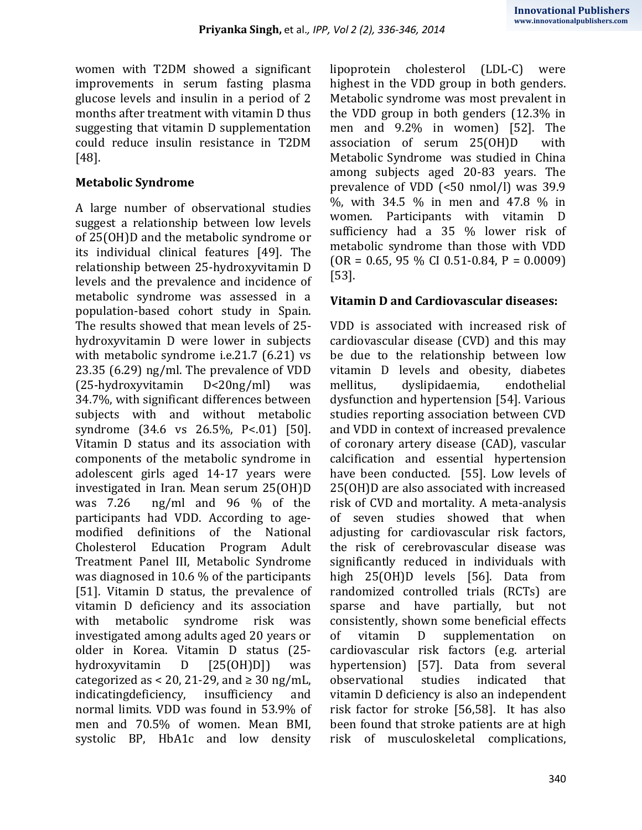women with T2DM showed a significant improvements in serum fasting plasma glucose levels and insulin in a period of 2 months after treatment with vitamin D thus suggesting that vitamin D supplementation could reduce insulin resistance in T2DM [48].

## **Metabolic Syndrome**

A large number of observational studies suggest a relationship between low levels of 25(OH)D and the metabolic syndrome or its individual clinical features [49]. The relationship between 25-hydroxyvitamin D levels and the prevalence and incidence of metabolic syndrome was assessed in a population-based cohort study in Spain. The results showed that mean levels of 25 hydroxyvitamin D were lower in subjects with metabolic syndrome i.e.21.7 (6.21) vs 23.35 (6.29) ng/ml. The prevalence of VDD (25-hydroxyvitamin D<20ng/ml) was 34.7%, with significant differences between subjects with and without metabolic syndrome (34.6 vs 26.5%, P<.01) [50]. Vitamin D status and its association with components of the metabolic syndrome in adolescent girls aged 14-17 years were investigated in Iran. Mean serum 25(OH)D was 7.26 ng/ml and 96 % of the participants had VDD. According to agemodified definitions of the National Cholesterol Education Program Adult Treatment Panel III, Metabolic Syndrome was diagnosed in 10.6 % of the participants [51]. Vitamin D status, the prevalence of vitamin D deficiency and its association with metabolic syndrome risk was investigated among adults aged 20 years or older in Korea. Vitamin D status (25 hydroxyvitamin D [25(OH)D]) was categorized as < 20, 21-29, and  $\geq$  30 ng/mL, indicatingdeficiency, insufficiency and normal limits. VDD was found in 53.9% of men and 70.5% of women. Mean BMI, systolic BP, HbA1c and low density

lipoprotein cholesterol (LDL-C) were highest in the VDD group in both genders. Metabolic syndrome was most prevalent in the VDD group in both genders (12.3% in men and 9.2% in women) [52]. The association of serum 25(OH)D with Metabolic Syndrome was studied in China among subjects aged 20-83 years. The prevalence of VDD (<50 nmol/l) was 39.9 %, with 34.5 % in men and 47.8 % in women. Participants with vitamin D sufficiency had a 35 % lower risk of metabolic syndrome than those with VDD  $(OR = 0.65, 95 % CI 0.51-0.84, P = 0.0009)$ [53].

# **Vitamin D and Cardiovascular diseases:**

VDD is associated with increased risk of cardiovascular disease (CVD) and this may be due to the relationship between low vitamin D levels and obesity, diabetes mellitus, dyslipidaemia, endothelial dysfunction and hypertension [54]. Various studies reporting association between CVD and VDD in context of increased prevalence of coronary artery disease (CAD), vascular calcification and essential hypertension have been conducted. [55]. Low levels of 25(OH)D are also associated with increased risk of CVD and mortality. A meta-analysis of seven studies showed that when adjusting for cardiovascular risk factors, the risk of cerebrovascular disease was significantly reduced in individuals with high 25(OH)D levels [56]. Data from randomized controlled trials (RCTs) are sparse and have partially, but not consistently, shown some beneficial effects of vitamin D supplementation on cardiovascular risk factors (e.g. arterial hypertension) [57]. Data from several observational studies indicated that vitamin D deficiency is also an independent risk factor for stroke [56,58]. It has also been found that stroke patients are at high risk of musculoskeletal complications,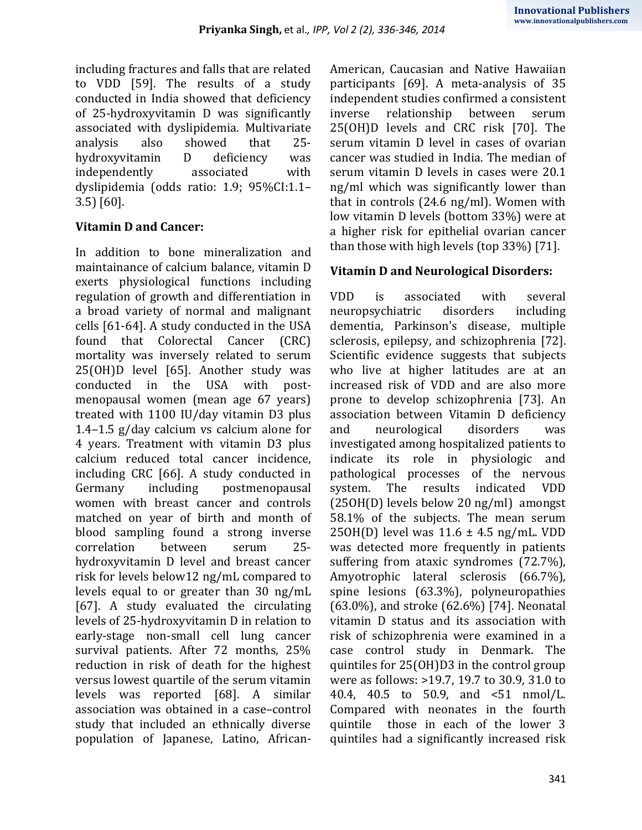including fractures and falls that are related to VDD [59]. The results of a study conducted in India showed that deficiency of 25-hydroxyvitamin D was significantly associated with dyslipidemia. Multivariate analysis also showed that 25 hydroxyvitamin D deficiency was independently associated with dyslipidemia (odds ratio: 1.9; 95%CI:1.1– 3.5) [60].

# **Vitamin D and Cancer:**

In addition to bone mineralization and maintainance of calcium balance, vitamin D exerts physiological functions including regulation of growth and differentiation in a broad variety of normal and malignant cells [61-64]. A study conducted in the USA found that Colorectal Cancer (CRC) mortality was inversely related to serum 25(OH)D level [65]. Another study was conducted in the USA with postmenopausal women (mean age 67 years) treated with 1100 IU/day vitamin D3 plus 1.4–1.5 g/day calcium vs calcium alone for 4 years. Treatment with vitamin D3 plus calcium reduced total cancer incidence, including CRC [66]. A study conducted in Germany including postmenopausal women with breast cancer and controls matched on year of birth and month of blood sampling found a strong inverse correlation between serum 25 hydroxyvitamin D level and breast cancer risk for levels below12 ng/mL compared to levels equal to or greater than 30 ng/mL [67]. A study evaluated the circulating levels of 25-hydroxyvitamin D in relation to early-stage non-small cell lung cancer survival patients. After 72 months, 25% reduction in risk of death for the highest versus lowest quartile of the serum vitamin levels was reported [68]. A similar association was obtained in a case–control study that included an ethnically diverse population of Japanese, Latino, AfricanAmerican, Caucasian and Native Hawaiian participants [69]. A meta-analysis of 35 independent studies confirmed a consistent inverse relationship between serum 25(OH)D levels and CRC risk [70]. The serum vitamin D level in cases of ovarian cancer was studied in India. The median of serum vitamin D levels in cases were 20.1 ng/ml which was significantly lower than that in controls (24.6 ng/ml). Women with low vitamin D levels (bottom 33%) were at a higher risk for epithelial ovarian cancer than those with high levels (top 33%) [71].

# **Vitamin D and Neurological Disorders:**

VDD is associated with several neuropsychiatric disorders including dementia, Parkinson's disease, multiple sclerosis, epilepsy, and schizophrenia [72]. Scientific evidence suggests that subjects who live at higher latitudes are at an increased risk of VDD and are also more prone to develop schizophrenia [73]. An association between Vitamin D deficiency and neurological disorders was investigated among hospitalized patients to indicate its role in physiologic and pathological processes of the nervous system. The results indicated VDD (25OH(D) levels below 20 ng/ml) amongst 58.1% of the subjects. The mean serum 25OH(D) level was  $11.6 \pm 4.5$  ng/mL. VDD was detected more frequently in patients suffering from ataxic syndromes (72.7%), Amyotrophic lateral sclerosis (66.7%), spine lesions (63.3%), polyneuropathies (63.0%), and stroke (62.6%) [74]. Neonatal vitamin D status and its association with risk of schizophrenia were examined in a case control study in Denmark. The quintiles for 25(OH)D3 in the control group were as follows: >19.7, 19.7 to 30.9, 31.0 to 40.4, 40.5 to 50.9, and <51 nmol/L. Compared with neonates in the fourth quintile those in each of the lower 3 quintiles had a significantly increased risk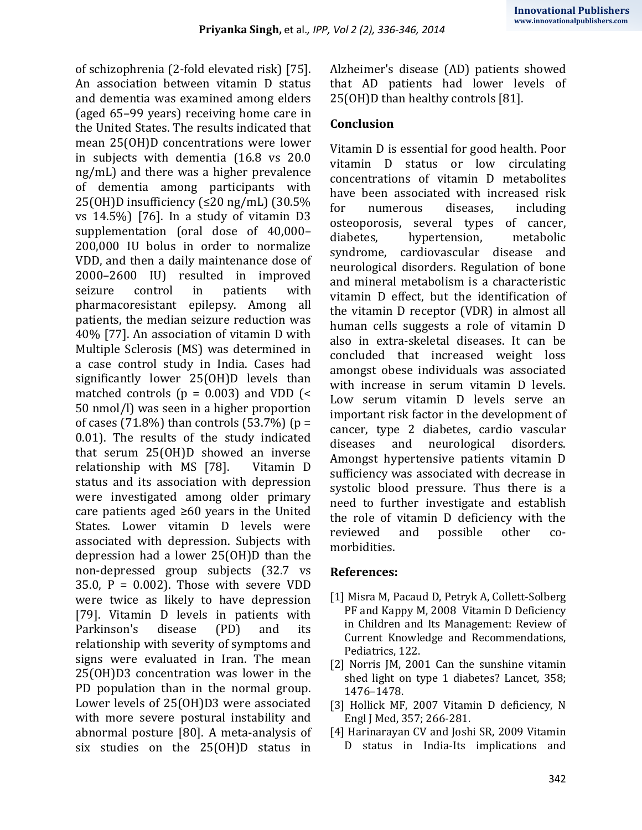of schizophrenia (2-fold elevated risk) [75]. An association between vitamin D status and dementia was examined among elders (aged 65–99 years) receiving home care in the United States. The results indicated that mean 25(OH)D concentrations were lower in subjects with dementia (16.8 vs 20.0 ng/mL) and there was a higher prevalence of dementia among participants with 25(OH)D insufficiency (≤20 ng/mL) (30.5% vs 14.5%) [76]. In a study of vitamin D3 supplementation (oral dose of 40,000– 200,000 IU bolus in order to normalize VDD, and then a daily maintenance dose of 2000–2600 IU) resulted in improved seizure control in patients with pharmacoresistant epilepsy. Among all patients, the median seizure reduction was 40% [77]. An association of vitamin D with Multiple Sclerosis (MS) was determined in a case control study in India. Cases had significantly lower 25(OH)D levels than matched controls ( $p = 0.003$ ) and VDD (< 50 nmol/l) was seen in a higher proportion of cases (71.8%) than controls (53.7%) ( $p =$ 0.01). The results of the study indicated that serum 25(OH)D showed an inverse relationship with MS [78]. Vitamin D status and its association with depression were investigated among older primary care patients aged ≥60 years in the United States. Lower vitamin D levels were associated with depression. Subjects with depression had a lower 25(OH)D than the non-depressed group subjects (32.7 vs 35.0,  $P = 0.002$ ). Those with severe VDD were twice as likely to have depression [79]. Vitamin D levels in patients with Parkinson's disease (PD) and its relationship with severity of symptoms and signs were evaluated in Iran. The mean 25(OH)D3 concentration was lower in the PD population than in the normal group. Lower levels of 25(OH)D3 were associated with more severe postural instability and abnormal posture [80]. A meta-analysis of six studies on the 25(OH)D status in

Alzheimer's disease (AD) patients showed that AD patients had lower levels of 25(OH)D than healthy controls [81].

### **Conclusion**

Vitamin D is essential for good health. Poor vitamin D status or low circulating concentrations of vitamin D metabolites have been associated with increased risk for numerous diseases, including osteoporosis, several types of cancer, diabetes, hypertension, metabolic syndrome, cardiovascular disease and neurological disorders. Regulation of bone and mineral metabolism is a characteristic vitamin D effect, but the identification of the vitamin D receptor (VDR) in almost all human cells suggests a role of vitamin D also in extra-skeletal diseases. It can be concluded that increased weight loss amongst obese individuals was associated with increase in serum vitamin D levels. Low serum vitamin D levels serve an important risk factor in the development of cancer, type 2 diabetes, cardio vascular diseases and neurological disorders. Amongst hypertensive patients vitamin D sufficiency was associated with decrease in systolic blood pressure. Thus there is a need to further investigate and establish the role of vitamin D deficiency with the reviewed and possible other comorbidities.

#### **References:**

- [1] Misra M, Pacaud D, Petryk A, Collett-Solberg PF and Kappy M, 2008 Vitamin D Deficiency in Children and Its Management: Review of Current Knowledge and Recommendations, Pediatrics, 122.
- [2] Norris JM, 2001 Can the sunshine vitamin shed light on type 1 diabetes? Lancet, 358; 1476–1478.
- [3] Hollick MF, 2007 Vitamin D deficiency, N Engl J Med, 357; 266-281.
- [4] Harinarayan CV and Joshi SR, 2009 Vitamin D status in India-Its implications and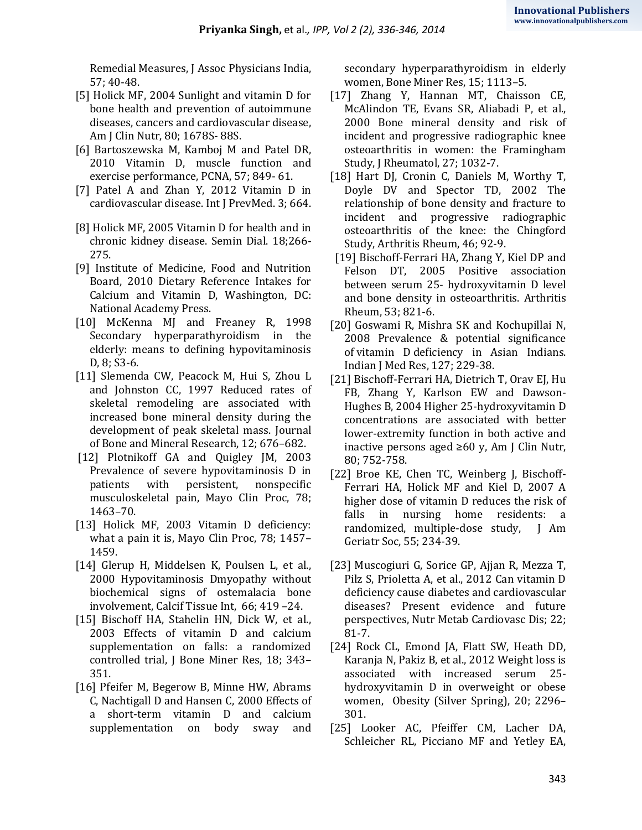Remedial Measures, J Assoc Physicians India, 57; 40-48.

- [5] Holick MF, 2004 Sunlight and vitamin D for bone health and prevention of autoimmune diseases, cancers and cardiovascular disease, Am J Clin Nutr, 80; 1678S- 88S.
- [6] Bartoszewska M, Kamboj M and Patel DR, 2010 Vitamin D, muscle function and exercise performance, PCNA, 57; 849- 61.
- [7] Patel A and Zhan Y, 2012 Vitamin D in cardiovascular disease. Int J PrevMed. 3; 664.
- [8] Holick MF, 2005 Vitamin D for health and in chronic kidney disease. Semin Dial. 18;266- 275.
- [9] Institute of Medicine, Food and Nutrition Board, 2010 Dietary Reference Intakes for Calcium and Vitamin D, Washington, DC: National Academy Press.
- [10] [McKenna MJ](http://www.ncbi.nlm.nih.gov/pubmed?term=McKenna%20MJ%5BAuthor%5D&cauthor=true&cauthor_uid=10197175) and [Freaney R,](http://www.ncbi.nlm.nih.gov/pubmed?term=Freaney%20R%5BAuthor%5D&cauthor=true&cauthor_uid=10197175) 1998 Secondary hyperparathyroidism in the elderly: means to defining hypovitaminosis D, 8; S3-6.
- [11] Slemenda CW, Peacock M, Hui S, Zhou L and Johnston CC, 1997 Reduced rates of skeletal remodeling are associated with increased bone mineral density during the development of peak skeletal mass. Journal of Bone and Mineral Research, 12; 676–682.
- [12] Plotnikoff GA and Quigley JM, 2003 Prevalence of severe hypovitaminosis D in patients with persistent, nonspecific musculoskeletal pain, Mayo Clin Proc, 78; 1463–70.
- [13] Holick MF, 2003 Vitamin D deficiency: what a pain it is, Mayo Clin Proc, 78; 1457– 1459.
- [14] Glerup H, Middelsen K, Poulsen L, et al., 2000 Hypovitaminosis Dmyopathy without biochemical signs of ostemalacia bone involvement, Calcif Tissue Int, 66; 419 –24.
- [15] Bischoff HA, Stahelin HN, Dick W, et al., 2003 Effects of vitamin D and calcium supplementation on falls: a randomized controlled trial, J Bone Miner Res, 18; 343– 351.
- [16] Pfeifer M, Begerow B, Minne HW, Abrams C, Nachtigall D and Hansen C, 2000 Effects of a short-term vitamin D and calcium supplementation on body sway and

secondary hyperparathyroidism in elderly women, Bone Miner Res, 15; 1113–5.

- [17] Zhang Y, Hannan MT, Chaisson CE, McAlindon TE, Evans SR, Aliabadi P, et al., 2000 Bone mineral density and risk of incident and progressive radiographic knee osteoarthritis in women: the Framingham Study, J Rheumatol, 27; 1032-7.
- [18] Hart DJ, Cronin C, Daniels M, Worthy T, Doyle DV and Spector TD, 2002 The relationship of bone density and fracture to incident and progressive radiographic osteoarthritis of the knee: the Chingford Study, Arthritis Rheum, 46; 92-9.
- [19] Bischoff-Ferrari HA, Zhang Y, Kiel DP and Felson DT, 2005 Positive association between serum 25- hydroxyvitamin D level and bone density in osteoarthritis. Arthritis Rheum, 53; 821-6.
- [20] Goswami R, Mishra SK and Kochupillai N, 2008 [Prevalence & potential significance](http://www.ncbi.nlm.nih.gov/pubmed/18497436)  of vitamin D [deficiency in Asian Indians.](http://www.ncbi.nlm.nih.gov/pubmed/18497436) Indian J Med Res, 127; 229-38.
- [21] Bischoff-Ferrari HA, Dietrich T, Orav EJ, Hu FB, Zhang Y, Karlson EW and Dawson-Hughes B, 2004 Higher 25-hydroxyvitamin D concentrations are associated with better lower-extremity function in both active and inactive persons aged ≥60 y, Am J Clin Nutr, 80; 752-758.
- [22] Broe KE, Chen TC, Weinberg J, Bischoff-Ferrari HA, Holick MF and Kiel D, 2007 A higher dose of vitamin D reduces the risk of falls in nursing home residents: a randomized, multiple-dose study, J Am Geriatr Soc, 55; 234-39.
- [23] Muscogiuri G, Sorice GP, Ajjan R, Mezza T, Pilz S, Prioletta A, et al., 2012 Can vitamin D deficiency cause diabetes and cardiovascular diseases? Present evidence and future perspectives, Nutr Metab Cardiovasc Dis; 22; 81-7.
- [24] Rock CL, Emond JA, Flatt SW, Heath DD, Karanja N, Pakiz B, et al., 2012 Weight loss is associated with increased serum 25 hydroxyvitamin D in overweight or obese women, Obesity (Silver Spring), 20; 2296– 301.
- [25] Looker AC, Pfeiffer CM, Lacher DA, Schleicher RL, Picciano MF and Yetley EA,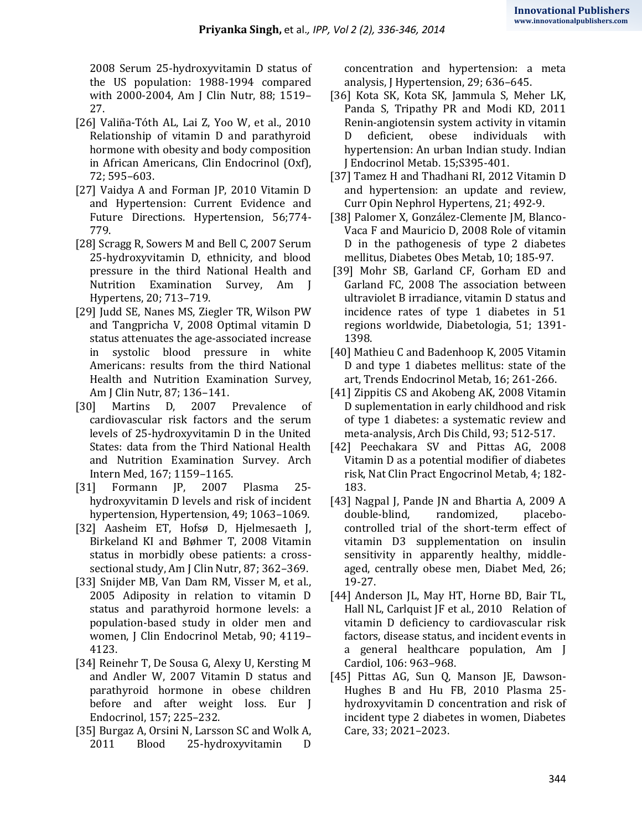2008 Serum 25-hydroxyvitamin D status of the US population: 1988-1994 compared with 2000-2004, Am J Clin Nutr, 88; 1519– 27.

- [26] Valiña-Tóth AL, Lai Z, Yoo W, et al., 2010 Relationship of vitamin D and parathyroid hormone with obesity and body composition in African Americans, Clin Endocrinol (Oxf), 72; 595–603.
- [27] Vaidya A and Forman JP, 2010 Vitamin D and Hypertension: Current Evidence and Future Directions. Hypertension, 56;774- 779.
- [28] Scragg R, Sowers M and Bell C, 2007 Serum 25-hydroxyvitamin D, ethnicity, and blood pressure in the third National Health and Nutrition Examination Survey, Am J Hypertens, 20; 713–719.
- [29] Judd SE, Nanes MS, Ziegler TR, Wilson PW and Tangpricha V, 2008 Optimal vitamin D status attenuates the age-associated increase in systolic blood pressure in white Americans: results from the third National Health and Nutrition Examination Survey, Am J Clin Nutr, 87; 136–141.
- [30] Martins D, 2007 Prevalence of cardiovascular risk factors and the serum levels of 25-hydroxyvitamin D in the United States: data from the Third National Health and Nutrition Examination Survey. Arch Intern Med, 167; 1159–1165.
- [31] Formann JP, 2007 Plasma 25 hydroxyvitamin D levels and risk of incident hypertension, Hypertension, 49; 1063–1069.
- [32] Aasheim ET, Hofsø D, Hjelmesaeth J, Birkeland KI and Bøhmer T, 2008 Vitamin status in morbidly obese patients: a crosssectional study, Am J Clin Nutr, 87; 362–369.
- [33] Snijder MB, Van Dam RM, Visser M, et al., 2005 Adiposity in relation to vitamin D status and parathyroid hormone levels: a population-based study in older men and women, J Clin Endocrinol Metab, 90; 4119– 4123.
- [34] Reinehr T, De Sousa G, Alexy U, Kersting M and Andler W, 2007 Vitamin D status and parathyroid hormone in obese children before and after weight loss. Eur J Endocrinol, 157; 225–232.
- [35] Burgaz A, Orsini N, Larsson SC and Wolk A, 2011 Blood 25-hydroxyvitamin D

concentration and hypertension: a meta analysis, J Hypertension, 29; 636–645.

- [36] Kota SK, Kota SK, Jammula S, Meher LK, Panda S, Tripathy PR and Modi KD, 2011 Renin-angiotensin system activity in vitamin D deficient, obese individuals with hypertension: An urban Indian study. Indian J Endocrinol Metab. 15;S395-401.
- [37] Tamez H and Thadhani RI, 2012 Vitamin D and hypertension: an update and review, Curr Opin Nephrol Hypertens, 21; 492-9.
- [38] Palomer X, González-Clemente JM, Blanco-Vaca F and Mauricio D, 2008 Role of vitamin D in the pathogenesis of type 2 diabetes mellitus, Diabetes Obes Metab, 10; 185-97.
- [39] Mohr SB, Garland CF, Gorham ED and Garland FC, 2008 The association between ultraviolet B irradiance, vitamin D status and incidence rates of type 1 diabetes in 51 regions worldwide, Diabetologia, 51; 1391- 1398.
- [40] Mathieu C and Badenhoop K, 2005 Vitamin D and type 1 diabetes mellitus: state of the art, Trends Endocrinol Metab, 16; 261-266.
- [41] Zippitis CS and Akobeng AK, 2008 Vitamin D suplementation in early childhood and risk of type 1 diabetes: a systematic review and meta-analysis, Arch Dis Child, 93; 512-517.
- [42] Peechakara SV and Pittas AG, 2008 Vitamin D as a potential modifier of diabetes risk, Nat Clin Pract Engocrinol Metab, 4; 182- 183.
- [43] Nagpal J, Pande JN and Bhartia A, 2009 A double-blind, randomized, placebocontrolled trial of the short-term effect of vitamin D3 supplementation on insulin sensitivity in apparently healthy, middleaged, centrally obese men, Diabet Med, 26; 19-27.
- [44] Anderson JL, May HT, Horne BD, Bair TL, Hall NL, Carlquist JF et al., 2010 Relation of vitamin D deficiency to cardiovascular risk factors, disease status, and incident events in a general healthcare population, Am J Cardiol, 106: 963–968.
- [45] Pittas AG, Sun Q, Manson JE, Dawson-Hughes B and Hu FB, 2010 Plasma 25 hydroxyvitamin D concentration and risk of incident type 2 diabetes in women, Diabetes Care, 33; 2021–2023.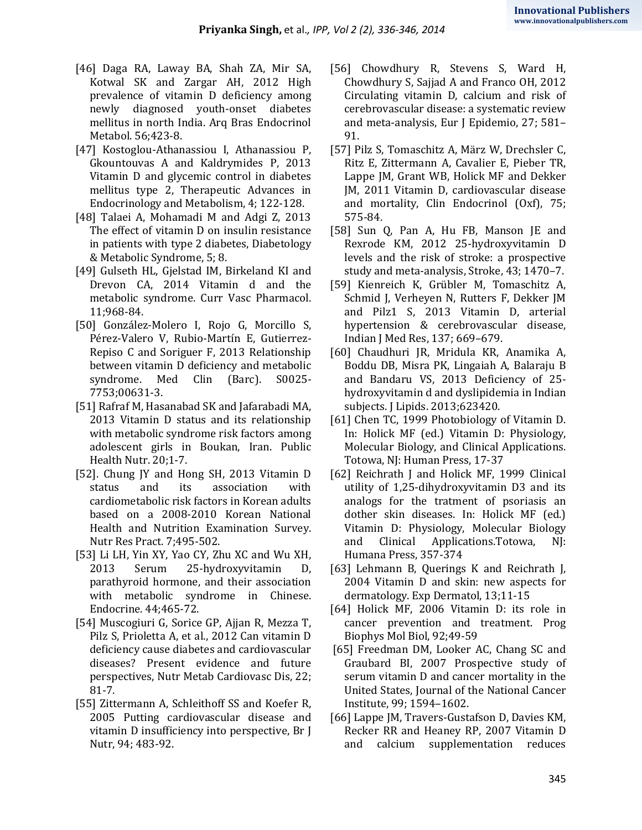- [46] Daga RA, Laway BA, Shah ZA, Mir SA, Kotwal SK and Zargar AH, 2012 High prevalence of vitamin D deficiency among newly diagnosed youth-onset diabetes mellitus in north India. Arq Bras Endocrinol Metabol. 56;423-8.
- [47] Kostoglou-Athanassiou I, Athanassiou P, Gkountouvas A and Kaldrymides P, 2013 Vitamin D and glycemic control in diabetes mellitus type 2, Therapeutic Advances in Endocrinology and Metabolism, 4; 122-128.
- [48] Talaei A, Mohamadi M and Adgi Z, 2013 The effect of vitamin D on insulin resistance in patients with type 2 diabetes, Diabetology & Metabolic Syndrome, 5; 8.
- [49] Gulseth HL, Gjelstad IM, Birkeland KI and Drevon CA, 2014 Vitamin d and the metabolic syndrome. Curr Vasc Pharmacol. 11;968-84.
- [50] González-Molero I, Rojo G, Morcillo S, Pérez-Valero V, Rubio-Martín E, Gutierrez-Repiso C and Soriguer F, 2013 Relationship between vitamin D deficiency and metabolic syndrome. Med Clin (Barc). S0025- 7753;00631-3.
- [51] Rafraf M, Hasanabad SK and Jafarabadi MA, 2013 Vitamin D status and its relationship with metabolic syndrome risk factors among adolescent girls in Boukan, Iran. Public Health Nutr. 20;1-7.
- [52]. Chung JY and Hong SH, 2013 Vitamin D status and its association with cardiometabolic risk factors in Korean adults based on a 2008-2010 Korean National Health and Nutrition Examination Survey. Nutr Res Pract. 7;495-502.
- [53] Li LH, Yin XY, Yao CY, Zhu XC and Wu XH, 2013 Serum 25-hydroxyvitamin D, parathyroid hormone, and their association with metabolic syndrome in Chinese. Endocrine. 44;465-72.
- [54] Muscogiuri G, Sorice GP, Ajjan R, Mezza T, Pilz S, Prioletta A, et al., 2012 Can vitamin D deficiency cause diabetes and cardiovascular diseases? Present evidence and future perspectives, Nutr Metab Cardiovasc Dis, 22; 81-7.
- [55] Zittermann A, Schleithoff SS and Koefer R, 2005 Putting cardiovascular disease and vitamin D insufficiency into perspective, Br J Nutr, 94; 483-92.
- [56] Chowdhury R, Stevens S, Ward H, Chowdhury S, Sajjad A and Franco OH, 2012 Circulating vitamin D, calcium and risk of cerebrovascular disease: a systematic review and meta-analysis, Eur J Epidemio, 27; 581– 91.
- [57] Pilz S, Tomaschitz A, März W, Drechsler C, Ritz E, Zittermann A, Cavalier E, Pieber TR, Lappe JM, Grant WB, Holick MF and Dekker JM, 2011 Vitamin D, cardiovascular disease and mortality, Clin Endocrinol (Oxf), 75; 575-84.
- [58] Sun Q, Pan A, Hu FB, Manson JE and Rexrode KM, 2012 25-hydroxyvitamin D levels and the risk of stroke: a prospective study and meta-analysis, Stroke, 43; 1470–7.
- [59] Kienreich K, Grübler M, Tomaschitz A, Schmid J, Verheyen N, Rutters F, Dekker JM and Pilz1 S, 2013 Vitamin D, arterial hypertension & cerebrovascular disease, Indian J Med Res, 137; 669–679.
- [60] Chaudhuri JR, Mridula KR, Anamika A, Boddu DB, Misra PK, Lingaiah A, Balaraju B and Bandaru VS, 2013 Deficiency of 25 hydroxyvitamin d and dyslipidemia in Indian subjects. J Lipids. 2013;623420.
- [61] Chen TC, 1999 Photobiology of Vitamin D. In: Holick MF (ed.) Vitamin D: Physiology, Molecular Biology, and Clinical Applications. Totowa, NJ: Human Press, 17-37
- [62] Reichrath J and Holick MF, 1999 Clinical utility of 1,25-dihydroxyvitamin D3 and its analogs for the tratment of psoriasis an dother skin diseases. In: Holick MF (ed.) Vitamin D: Physiology, Molecular Biology and Clinical Applications.Totowa, NJ: Humana Press, 357-374
- [63] Lehmann B, Querings K and Reichrath J, 2004 Vitamin D and skin: new aspects for dermatology. Exp Dermatol, 13;11-15
- [64] Holick MF, 2006 Vitamin D: its role in cancer prevention and treatment. Prog Biophys Mol Biol, 92;49-59
- [65] Freedman DM, Looker AC, Chang SC and Graubard BI, 2007 Prospective study of serum vitamin D and cancer mortality in the United States, Journal of the National Cancer Institute, 99; 1594–1602.
- [66] Lappe JM, Travers-Gustafson D, Davies KM, Recker RR and Heaney RP, 2007 Vitamin D and calcium supplementation reduces